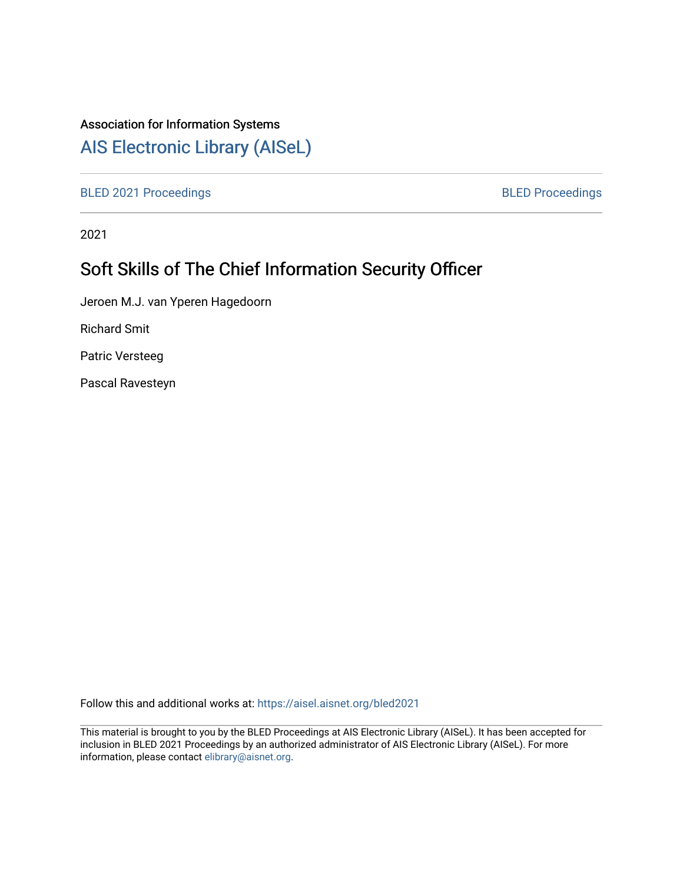## Association for Information Systems

# [AIS Electronic Library \(AISeL\)](https://aisel.aisnet.org/)

[BLED 2021 Proceedings](https://aisel.aisnet.org/bled2021) **BLED Proceedings** 

2021

# Soft Skills of The Chief Information Security Officer

Jeroen M.J. van Yperen Hagedoorn

Richard Smit

Patric Versteeg

Pascal Ravesteyn

Follow this and additional works at: [https://aisel.aisnet.org/bled2021](https://aisel.aisnet.org/bled2021?utm_source=aisel.aisnet.org%2Fbled2021%2F31&utm_medium=PDF&utm_campaign=PDFCoverPages) 

This material is brought to you by the BLED Proceedings at AIS Electronic Library (AISeL). It has been accepted for inclusion in BLED 2021 Proceedings by an authorized administrator of AIS Electronic Library (AISeL). For more information, please contact [elibrary@aisnet.org.](mailto:elibrary@aisnet.org%3E)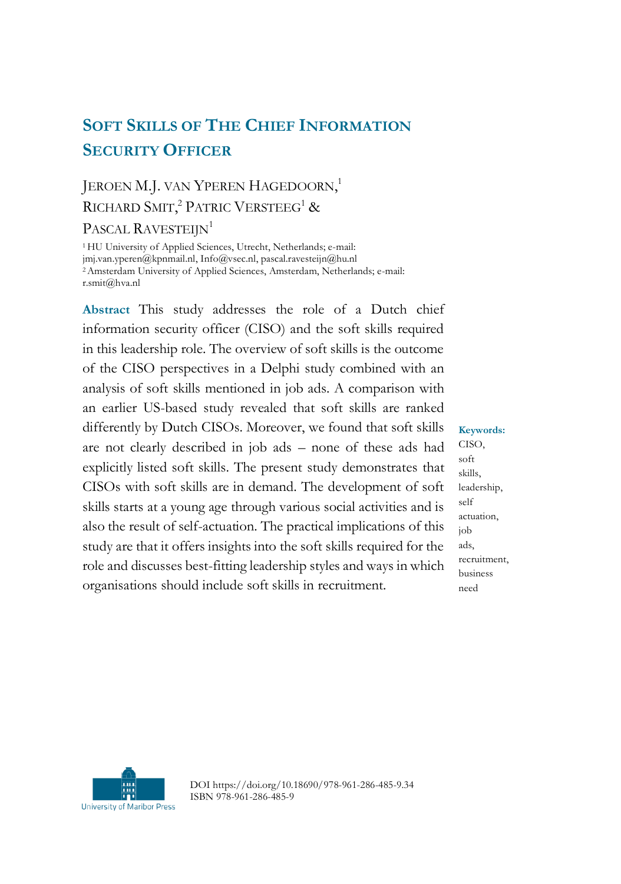# **SOFT SKILLS OF THE CHIEF INFORMATION SECURITY OFFICER**

# JEROEN M.J. VAN YPEREN HAGEDOORN,<sup>1</sup> RICHARD SMIT,<sup>2</sup> PATRIC VERSTEEG<sup>1</sup> &

PASCAL RAVESTEIJN<sup>1</sup>

<sup>1</sup>HU University of Applied Sciences, Utrecht, Netherlands; e-mail: jmj.van.yperen@kpnmail.nl, Info@vsec.nl, pascal.ravesteijn@hu.nl <sup>2</sup>Amsterdam University of Applied Sciences, Amsterdam, Netherlands; e-mail: r.smit@hva.nl

**Abstract** This study addresses the role of a Dutch chief information security officer (CISO) and the soft skills required in this leadership role. The overview of soft skills is the outcome of the CISO perspectives in a Delphi study combined with an analysis of soft skills mentioned in job ads. A comparison with an earlier US-based study revealed that soft skills are ranked differently by Dutch CISOs. Moreover, we found that soft skills are not clearly described in job ads – none of these ads had explicitly listed soft skills. The present study demonstrates that CISOs with soft skills are in demand. The development of soft skills starts at a young age through various social activities and is also the result of self-actuation. The practical implications of this study are that it offers insights into the soft skills required for the role and discusses best-fitting leadership styles and ways in which organisations should include soft skills in recruitment.

**Keywords:** CISO, soft skills, leadership, self actuation, job ads, recruitment, business need



DOI https://doi.org/10.18690/978-961-286-485-9.34 ISBN 978-961-286-485-9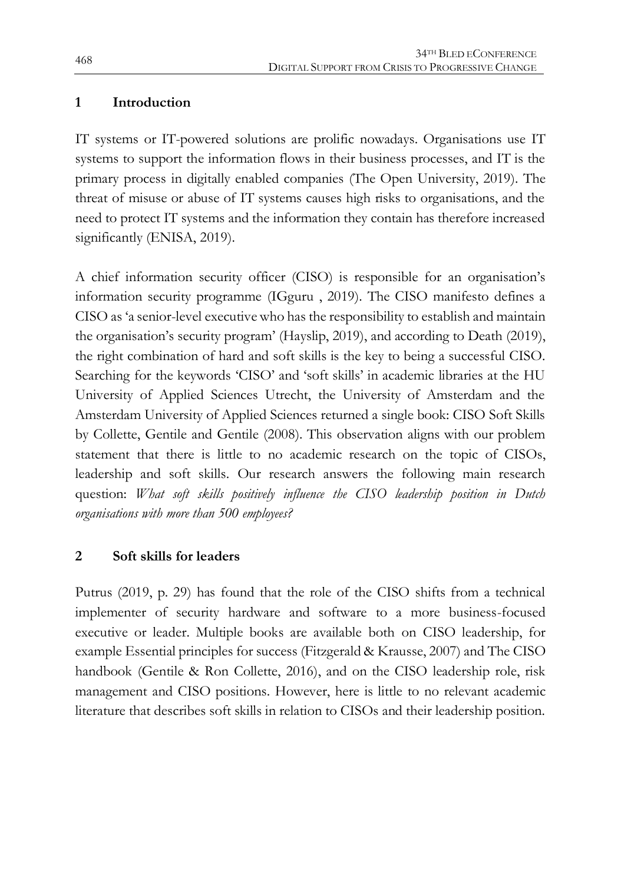#### **1 Introduction**

IT systems or IT-powered solutions are prolific nowadays. Organisations use IT systems to support the information flows in their business processes, and IT is the primary process in digitally enabled companies (The Open University, 2019). The threat of misuse or abuse of IT systems causes high risks to organisations, and the need to protect IT systems and the information they contain has therefore increased significantly (ENISA, 2019).

A chief information security officer (CISO) is responsible for an organisation's information security programme (IGguru , 2019). The CISO manifesto defines a CISO as 'a senior-level executive who has the responsibility to establish and maintain the organisation's security program' (Hayslip, 2019), and according to Death (2019), the right combination of hard and soft skills is the key to being a successful CISO. Searching for the keywords 'CISO' and 'soft skills' in academic libraries at the HU University of Applied Sciences Utrecht, the University of Amsterdam and the Amsterdam University of Applied Sciences returned a single book: CISO Soft Skills by Collette, Gentile and Gentile (2008). This observation aligns with our problem statement that there is little to no academic research on the topic of CISOs, leadership and soft skills. Our research answers the following main research question: *What soft skills positively influence the CISO leadership position in Dutch organisations with more than 500 employees?*

#### **2 Soft skills for leaders**

Putrus (2019, p. 29) has found that the role of the CISO shifts from a technical implementer of security hardware and software to a more business-focused executive or leader. Multiple books are available both on CISO leadership, for example Essential principles for success (Fitzgerald & Krausse, 2007) and The CISO handbook (Gentile & Ron Collette, 2016), and on the CISO leadership role, risk management and CISO positions. However, here is little to no relevant academic literature that describes soft skills in relation to CISOs and their leadership position.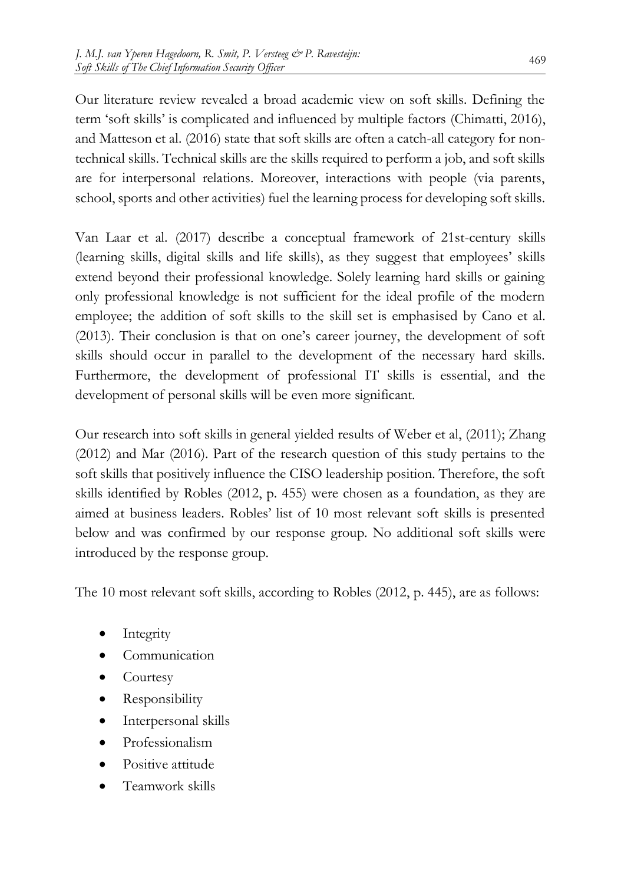Our literature review revealed a broad academic view on soft skills. Defining the term 'soft skills' is complicated and influenced by multiple factors (Chimatti, 2016), and Matteson et al. (2016) state that soft skills are often a catch-all category for nontechnical skills. Technical skills are the skills required to perform a job, and soft skills are for interpersonal relations. Moreover, interactions with people (via parents, school, sports and other activities) fuel the learning process for developing soft skills.

Van Laar et al. (2017) describe a conceptual framework of 21st-century skills (learning skills, digital skills and life skills), as they suggest that employees' skills extend beyond their professional knowledge. Solely learning hard skills or gaining only professional knowledge is not sufficient for the ideal profile of the modern employee; the addition of soft skills to the skill set is emphasised by Cano et al. (2013). Their conclusion is that on one's career journey, the development of soft skills should occur in parallel to the development of the necessary hard skills. Furthermore, the development of professional IT skills is essential, and the development of personal skills will be even more significant.

Our research into soft skills in general yielded results of Weber et al, (2011); Zhang (2012) and Mar (2016). Part of the research question of this study pertains to the soft skills that positively influence the CISO leadership position. Therefore, the soft skills identified by Robles (2012, p. 455) were chosen as a foundation, as they are aimed at business leaders. Robles' list of 10 most relevant soft skills is presented below and was confirmed by our response group. No additional soft skills were introduced by the response group.

The 10 most relevant soft skills, according to Robles (2012, p. 445), are as follows:

- Integrity
- Communication
- Courtesy
- Responsibility
- Interpersonal skills
- Professionalism
- Positive attitude
- Teamwork skills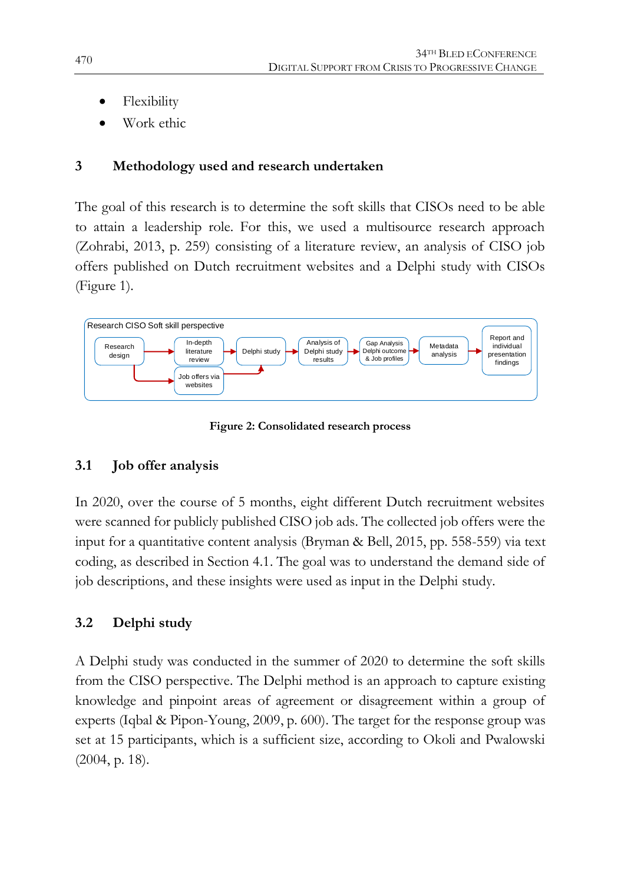- Flexibility
- Work ethic

## **3 Methodology used and research undertaken**

The goal of this research is to determine the soft skills that CISOs need to be able to attain a leadership role. For this, we used a multisource research approach (Zohrabi, 2013, p. 259) consisting of a literature review, an analysis of CISO job offers published on Dutch recruitment websites and a Delphi study with CISOs (Figure 1).



**Figure 2: Consolidated research process**

## **3.1 Job offer analysis**

In 2020, over the course of 5 months, eight different Dutch recruitment websites were scanned for publicly published CISO job ads. The collected job offers were the input for a quantitative content analysis (Bryman & Bell, 2015, pp. 558-559) via text coding, as described in Section 4.1. The goal was to understand the demand side of job descriptions, and these insights were used as input in the Delphi study.

## **3.2 Delphi study**

A Delphi study was conducted in the summer of 2020 to determine the soft skills from the CISO perspective. The Delphi method is an approach to capture existing knowledge and pinpoint areas of agreement or disagreement within a group of experts (Iqbal & Pipon-Young, 2009, p. 600). The target for the response group was set at 15 participants, which is a sufficient size, according to Okoli and Pwalowski (2004, p. 18).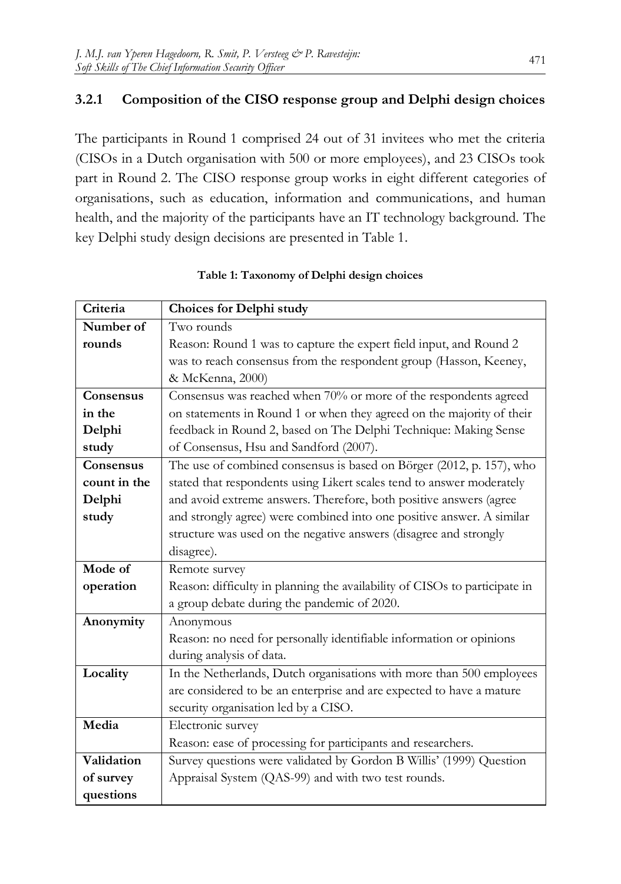### **3.2.1 Composition of the CISO response group and Delphi design choices**

The participants in Round 1 comprised 24 out of 31 invitees who met the criteria (CISOs in a Dutch organisation with 500 or more employees), and 23 CISOs took part in Round 2. The CISO response group works in eight different categories of organisations, such as education, information and communications, and human health, and the majority of the participants have an IT technology background. The key Delphi study design decisions are presented in Table 1.

| Criteria     | <b>Choices for Delphi study</b>                                            |
|--------------|----------------------------------------------------------------------------|
| Number of    | Two rounds                                                                 |
| rounds       | Reason: Round 1 was to capture the expert field input, and Round 2         |
|              | was to reach consensus from the respondent group (Hasson, Keeney,          |
|              | & McKenna, 2000)                                                           |
| Consensus    | Consensus was reached when 70% or more of the respondents agreed           |
| in the       | on statements in Round 1 or when they agreed on the majority of their      |
| Delphi       | feedback in Round 2, based on The Delphi Technique: Making Sense           |
| study        | of Consensus, Hsu and Sandford (2007).                                     |
| Consensus    | The use of combined consensus is based on Börger (2012, p. 157), who       |
| count in the | stated that respondents using Likert scales tend to answer moderately      |
| Delphi       | and avoid extreme answers. Therefore, both positive answers (agree         |
| study        | and strongly agree) were combined into one positive answer. A similar      |
|              | structure was used on the negative answers (disagree and strongly          |
|              | disagree).                                                                 |
| Mode of      | Remote survey                                                              |
| operation    | Reason: difficulty in planning the availability of CISOs to participate in |
|              | a group debate during the pandemic of 2020.                                |
| Anonymity    | Anonymous                                                                  |
|              | Reason: no need for personally identifiable information or opinions        |
|              | during analysis of data.                                                   |
| Locality     | In the Netherlands, Dutch organisations with more than 500 employees       |
|              | are considered to be an enterprise and are expected to have a mature       |
|              | security organisation led by a CISO.                                       |
| Media        | Electronic survey                                                          |
|              | Reason: ease of processing for participants and researchers.               |
| Validation   | Survey questions were validated by Gordon B Willis' (1999) Question        |
| of survey    | Appraisal System (QAS-99) and with two test rounds.                        |
| questions    |                                                                            |

**Table 1: Taxonomy of Delphi design choices**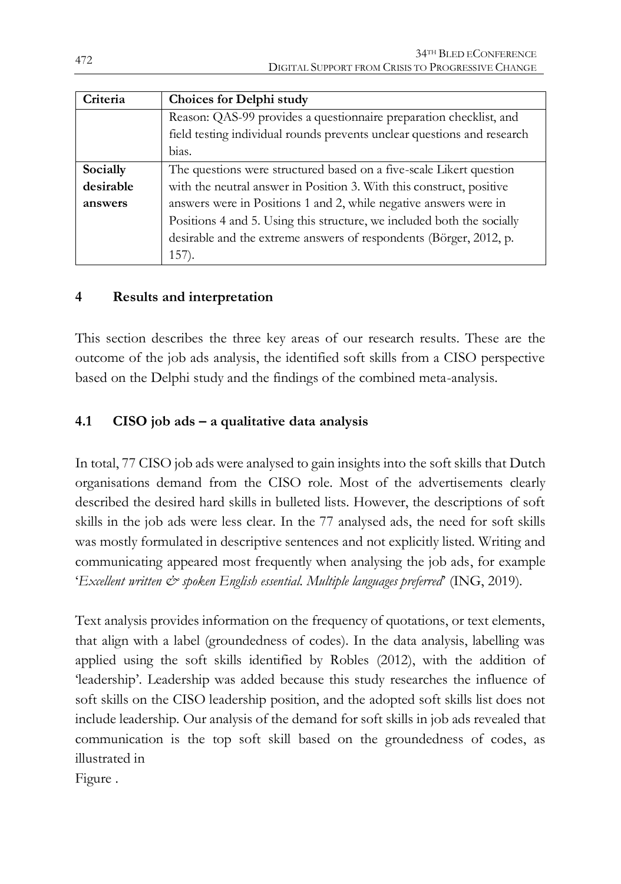| Criteria  | Choices for Delphi study                                                |  |  |  |  |  |  |  |  |  |
|-----------|-------------------------------------------------------------------------|--|--|--|--|--|--|--|--|--|
|           | Reason: QAS-99 provides a questionnaire preparation checklist, and      |  |  |  |  |  |  |  |  |  |
|           | field testing individual rounds prevents unclear questions and research |  |  |  |  |  |  |  |  |  |
|           | bias.                                                                   |  |  |  |  |  |  |  |  |  |
| Socially  | The questions were structured based on a five-scale Likert question     |  |  |  |  |  |  |  |  |  |
| desirable | with the neutral answer in Position 3. With this construct, positive    |  |  |  |  |  |  |  |  |  |
| answers   | answers were in Positions 1 and 2, while negative answers were in       |  |  |  |  |  |  |  |  |  |
|           | Positions 4 and 5. Using this structure, we included both the socially  |  |  |  |  |  |  |  |  |  |
|           | desirable and the extreme answers of respondents (Börger, 2012, p.      |  |  |  |  |  |  |  |  |  |
|           | 157.                                                                    |  |  |  |  |  |  |  |  |  |

### **4 Results and interpretation**

This section describes the three key areas of our research results. These are the outcome of the job ads analysis, the identified soft skills from a CISO perspective based on the Delphi study and the findings of the combined meta-analysis.

### **4.1 CISO job ads – a qualitative data analysis**

In total, 77 CISO job ads were analysed to gain insights into the soft skills that Dutch organisations demand from the CISO role. Most of the advertisements clearly described the desired hard skills in bulleted lists. However, the descriptions of soft skills in the job ads were less clear. In the 77 analysed ads, the need for soft skills was mostly formulated in descriptive sentences and not explicitly listed. Writing and communicating appeared most frequently when analysing the job ads, for example '*Excellent written*  $\dot{\mathcal{C}}$  spoken *English essential. Multiple languages preferred*<sup>'</sup> (ING, 2019).

Text analysis provides information on the frequency of quotations, or text elements, that align with a label (groundedness of codes). In the data analysis, labelling was applied using the soft skills identified by Robles (2012), with the addition of 'leadership'. Leadership was added because this study researches the influence of soft skills on the CISO leadership position, and the adopted soft skills list does not include leadership. Our analysis of the demand for soft skills in job ads revealed that communication is the top soft skill based on the groundedness of codes, as illustrated in

[Figure .](#page-7-0)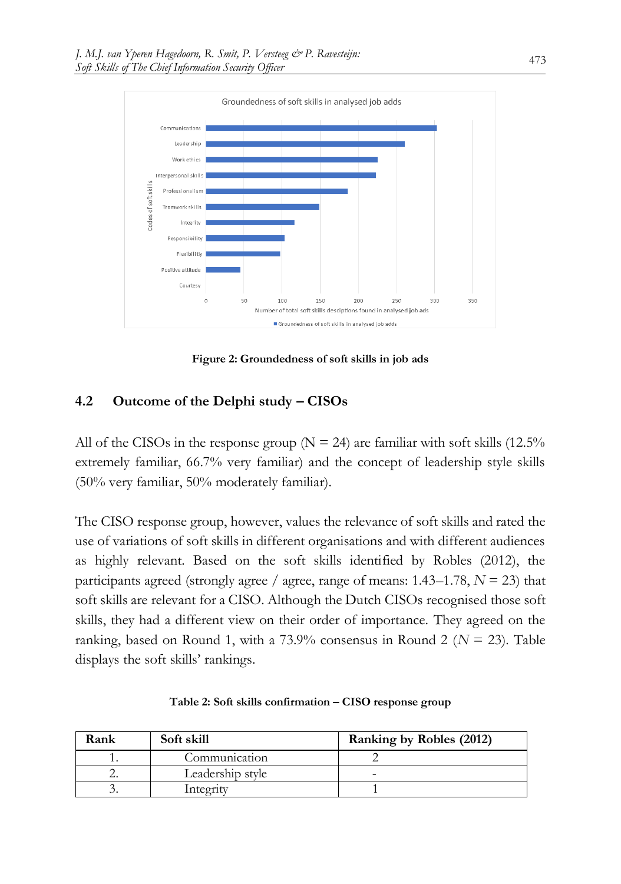

**Figure 2: Groundedness of soft skills in job ads**

#### <span id="page-7-0"></span>**4.2 Outcome of the Delphi study – CISOs**

All of the CISOs in the response group ( $N = 24$ ) are familiar with soft skills (12.5%) extremely familiar, 66.7% very familiar) and the concept of leadership style skills (50% very familiar, 50% moderately familiar).

The CISO response group, however, values the relevance of soft skills and rated the use of variations of soft skills in different organisations and with different audiences as highly relevant. Based on the soft skills identified by Robles (2012), the participants agreed (strongly agree / agree, range of means:  $1.43-1.78$ ,  $N = 23$ ) that soft skills are relevant for a CISO. Although the Dutch CISOs recognised those soft skills, they had a different view on their order of importance. They agreed on the ranking, based on Round 1, with a  $73.9\%$  consensus in Round 2 ( $N = 23$ ). Table displays the soft skills' rankings.

<span id="page-7-1"></span>

| Rank     | Soft skill       | Ranking by Robles (2012) |
|----------|------------------|--------------------------|
|          | Communication    |                          |
| <u>.</u> | Leadership style | -                        |
|          | Integrity        |                          |

**Table 2: Soft skills confirmation – CISO response group**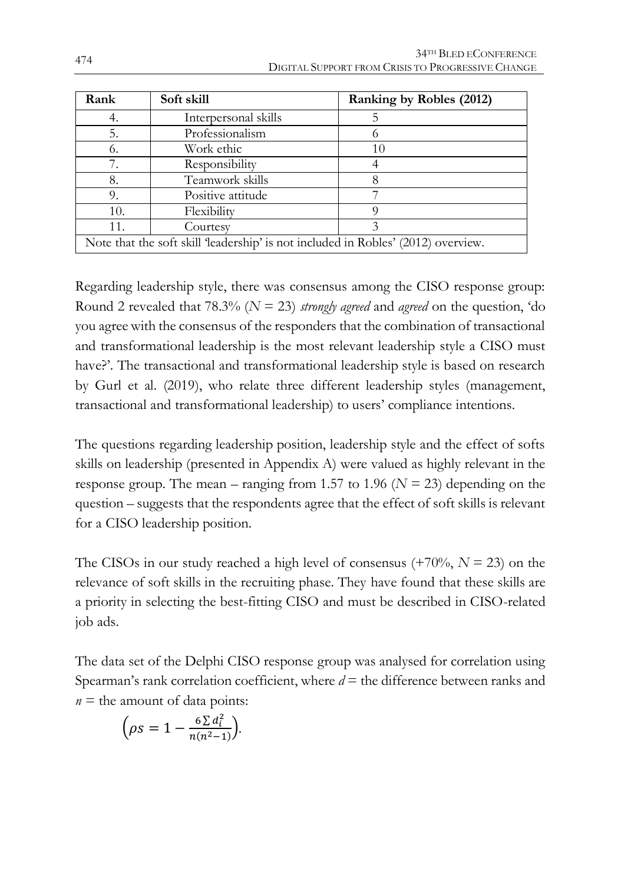| Rank                                                                              | Soft skill           | Ranking by Robles (2012) |  |  |  |  |
|-----------------------------------------------------------------------------------|----------------------|--------------------------|--|--|--|--|
| 4.                                                                                | Interpersonal skills |                          |  |  |  |  |
| 5.                                                                                | Professionalism      |                          |  |  |  |  |
| 6.                                                                                | Work ethic           | 10                       |  |  |  |  |
|                                                                                   | Responsibility       |                          |  |  |  |  |
| 8.                                                                                | Teamwork skills      |                          |  |  |  |  |
| 9.                                                                                | Positive attitude    |                          |  |  |  |  |
| 10.                                                                               | Flexibility          |                          |  |  |  |  |
| 11.                                                                               | Courtesy             |                          |  |  |  |  |
| Note that the soft skill 'leadership' is not included in Robles' (2012) overview. |                      |                          |  |  |  |  |

Regarding leadership style, there was consensus among the CISO response group: Round 2 revealed that 78.3% (*N* = 23) *strongly agreed* and *agreed* on the question, 'do you agree with the consensus of the responders that the combination of transactional and transformational leadership is the most relevant leadership style a CISO must have?'. The transactional and transformational leadership style is based on research by Gurl et al. (2019), who relate three different leadership styles (management, transactional and transformational leadership) to users' compliance intentions.

The questions regarding leadership position, leadership style and the effect of softs skills on leadership (presented in Appendix A) were valued as highly relevant in the response group. The mean – ranging from 1.57 to 1.96 (*N* = 23) depending on the question – suggests that the respondents agree that the effect of soft skills is relevant for a CISO leadership position.

The CISOs in our study reached a high level of consensus  $(+70\%, N = 23)$  on the relevance of soft skills in the recruiting phase. They have found that these skills are a priority in selecting the best-fitting CISO and must be described in CISO-related job ads.

The data set of the Delphi CISO response group was analysed for correlation using Spearman's rank correlation coefficient, where  $d =$  the difference between ranks and  $n =$  the amount of data points:

$$
\left(\rho s = 1 - \frac{6 \sum d_i^2}{n(n^2 - 1)}\right).
$$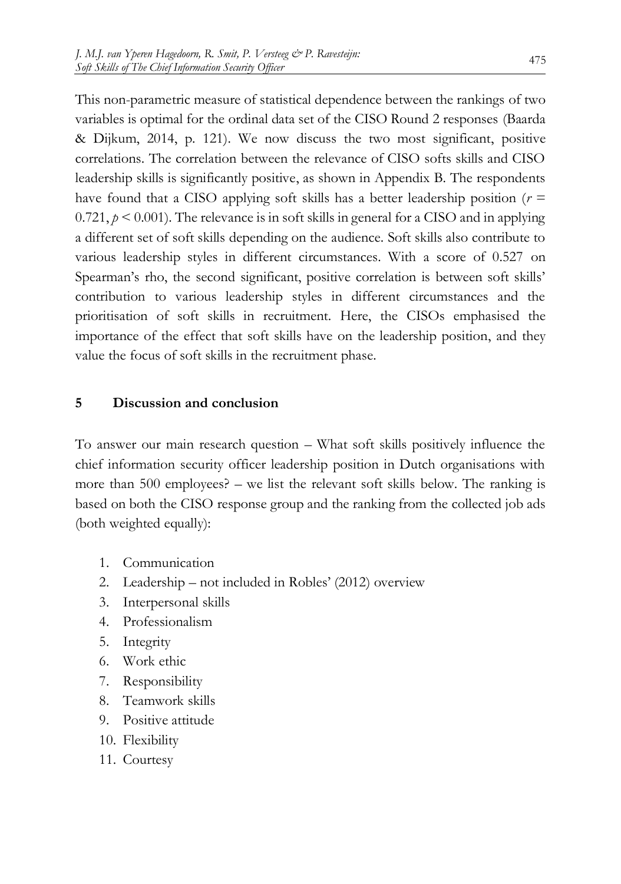This non-parametric measure of statistical dependence between the rankings of two variables is optimal for the ordinal data set of the CISO Round 2 responses (Baarda & Dijkum, 2014, p. 121). We now discuss the two most significant, positive correlations. The correlation between the relevance of CISO softs skills and CISO leadership skills is significantly positive, as shown in Appendix B. The respondents have found that a CISO applying soft skills has a better leadership position  $(r =$  $0.721, p \le 0.001$ . The relevance is in soft skills in general for a CISO and in applying a different set of soft skills depending on the audience. Soft skills also contribute to various leadership styles in different circumstances. With a score of 0.527 on Spearman's rho, the second significant, positive correlation is between soft skills' contribution to various leadership styles in different circumstances and the prioritisation of soft skills in recruitment. Here, the CISOs emphasised the importance of the effect that soft skills have on the leadership position, and they value the focus of soft skills in the recruitment phase.

#### **5 Discussion and conclusion**

To answer our main research question – What soft skills positively influence the chief information security officer leadership position in Dutch organisations with more than 500 employees? – we list the relevant soft skills below. The ranking is based on both the CISO response group and the ranking from the collected job ads (both weighted equally):

- 1. Communication
- 2. Leadership not included in Robles' (2012) overview
- 3. Interpersonal skills
- 4. Professionalism
- 5. Integrity
- 6. Work ethic
- 7. Responsibility
- 8. Teamwork skills
- 9. Positive attitude
- 10. Flexibility
- 11. Courtesy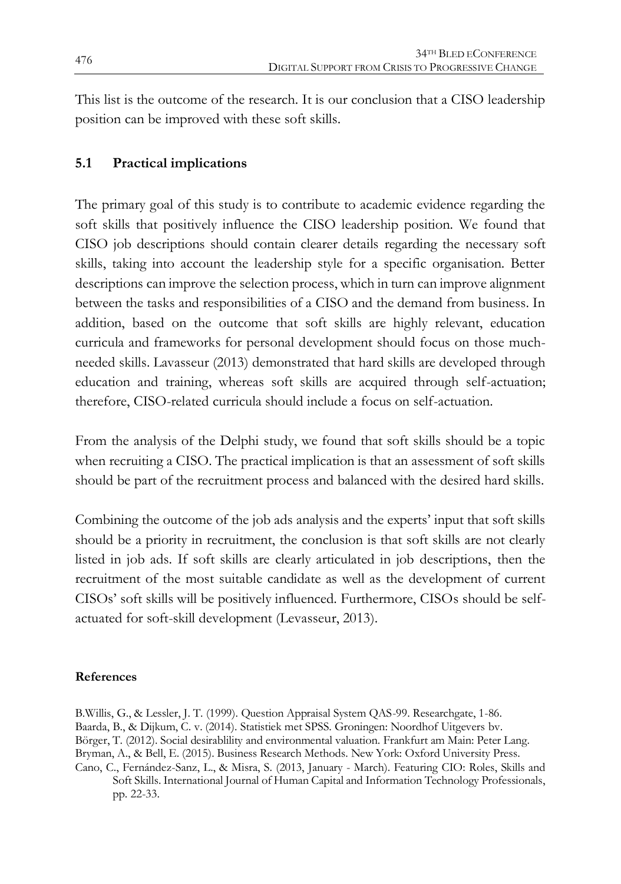This list is the outcome of the research. It is our conclusion that a CISO leadership position can be improved with these soft skills.

### **5.1 Practical implications**

The primary goal of this study is to contribute to academic evidence regarding the soft skills that positively influence the CISO leadership position. We found that CISO job descriptions should contain clearer details regarding the necessary soft skills, taking into account the leadership style for a specific organisation. Better descriptions can improve the selection process, which in turn can improve alignment between the tasks and responsibilities of a CISO and the demand from business. In addition, based on the outcome that soft skills are highly relevant, education curricula and frameworks for personal development should focus on those muchneeded skills. Lavasseur (2013) demonstrated that hard skills are developed through education and training, whereas soft skills are acquired through self-actuation; therefore, CISO-related curricula should include a focus on self-actuation.

From the analysis of the Delphi study, we found that soft skills should be a topic when recruiting a CISO. The practical implication is that an assessment of soft skills should be part of the recruitment process and balanced with the desired hard skills.

Combining the outcome of the job ads analysis and the experts' input that soft skills should be a priority in recruitment, the conclusion is that soft skills are not clearly listed in job ads. If soft skills are clearly articulated in job descriptions, then the recruitment of the most suitable candidate as well as the development of current CISOs' soft skills will be positively influenced. Furthermore, CISOs should be selfactuated for soft-skill development (Levasseur, 2013).

#### **References**

B.Willis, G., & Lessler, J. T. (1999). Question Appraisal System QAS-99. Researchgate, 1-86. Baarda, B., & Dijkum, C. v. (2014). Statistiek met SPSS. Groningen: Noordhof Uitgevers bv. Börger, T. (2012). Social desirablility and environmental valuation. Frankfurt am Main: Peter Lang. Bryman, A., & Bell, E. (2015). Business Research Methods. New York: Oxford University Press. Cano, C., Fernández-Sanz, L., & Misra, S. (2013, January - March). Featuring CIO: Roles, Skills and Soft Skills. International Journal of Human Capital and Information Technology Professionals, pp. 22-33.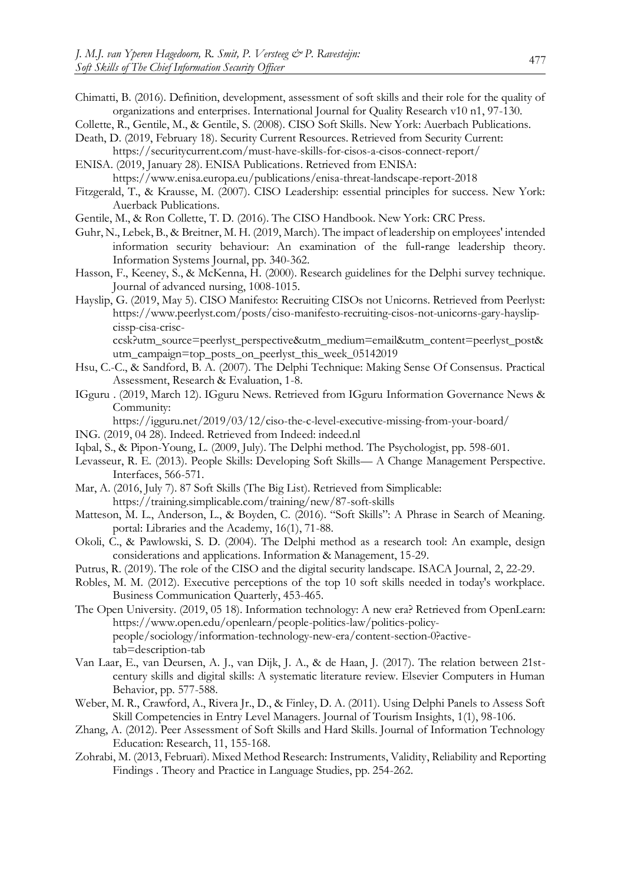- Chimatti, B. (2016). Definition, development, assessment of soft skills and their role for the quality of organizations and enterprises. International Journal for Quality Research v10 n1, 97-130.
- Collette, R., Gentile, M., & Gentile, S. (2008). CISO Soft Skills. New York: Auerbach Publications.
- Death, D. (2019, February 18). Security Current Resources. Retrieved from Security Current: https://securitycurrent.com/must-have-skills-for-cisos-a-cisos-connect-report/
- ENISA. (2019, January 28). ENISA Publications. Retrieved from ENISA:
- https://www.enisa.europa.eu/publications/enisa-threat-landscape-report-2018 Fitzgerald, T., & Krausse, M. (2007). CISO Leadership: essential principles for success. New York: Auerback Publications.
- Gentile, M., & Ron Collette, T. D. (2016). The CISO Handbook. New York: CRC Press.
- Guhr, N., Lebek, B., & Breitner, M. H. (2019, March). The impact of leadership on employees' intended information security behaviour: An examination of the full-range leadership theory. Information Systems Journal, pp. 340-362.
- Hasson, F., Keeney, S., & McKenna, H. (2000). Research guidelines for the Delphi survey technique. Journal of advanced nursing, 1008-1015.
- Hayslip, G. (2019, May 5). CISO Manifesto: Recruiting CISOs not Unicorns. Retrieved from Peerlyst: https://www.peerlyst.com/posts/ciso-manifesto-recruiting-cisos-not-unicorns-gary-hayslipcissp-cisa-crisc-

ccsk?utm\_source=peerlyst\_perspective&utm\_medium=email&utm\_content=peerlyst\_post& utm\_campaign=top\_posts\_on\_peerlyst\_this\_week\_05142019

- Hsu, C.-C., & Sandford, B. A. (2007). The Delphi Technique: Making Sense Of Consensus. Practical Assessment, Research & Evaluation, 1-8.
- IGguru . (2019, March 12). IGguru News. Retrieved from IGguru Information Governance News & Community:
	- https://igguru.net/2019/03/12/ciso-the-c-level-executive-missing-from-your-board/
- ING. (2019, 04 28). Indeed. Retrieved from Indeed: indeed.nl
- Iqbal, S., & Pipon-Young, L. (2009, July). The Delphi method. The Psychologist, pp. 598-601.
- Levasseur, R. E. (2013). People Skills: Developing Soft Skills— A Change Management Perspective. Interfaces, 566-571.
- Mar, A. (2016, July 7). 87 Soft Skills (The Big List). Retrieved from Simplicable: https://training.simplicable.com/training/new/87-soft-skills
- Matteson, M. L., Anderson, L., & Boyden, C. (2016). "Soft Skills": A Phrase in Search of Meaning. portal: Libraries and the Academy, 16(1), 71-88.
- Okoli, C., & Pawlowski, S. D. (2004). The Delphi method as a research tool: An example, design considerations and applications. Information & Management, 15-29.
- Putrus, R. (2019). The role of the CISO and the digital security landscape. ISACA Journal, 2, 22-29.
- Robles, M. M. (2012). Executive perceptions of the top 10 soft skills needed in today's workplace. Business Communication Quarterly, 453-465.
- The Open University. (2019, 05 18). Information technology: A new era? Retrieved from OpenLearn: https://www.open.edu/openlearn/people-politics-law/politics-policypeople/sociology/information-technology-new-era/content-section-0?activetab=description-tab
- Van Laar, E., van Deursen, A. J., van Dijk, J. A., & de Haan, J. (2017). The relation between 21stcentury skills and digital skills: A systematic literature review. Elsevier Computers in Human Behavior, pp. 577-588.
- Weber, M. R., Crawford, A., Rivera Jr., D., & Finley, D. A. (2011). Using Delphi Panels to Assess Soft Skill Competencies in Entry Level Managers. Journal of Tourism Insights, 1(1), 98-106.
- Zhang, A. (2012). Peer Assessment of Soft Skills and Hard Skills. Journal of Information Technology Education: Research, 11, 155-168.
- Zohrabi, M. (2013, Februari). Mixed Method Research: Instruments, Validity, Reliability and Reporting Findings . Theory and Practice in Language Studies, pp. 254-262.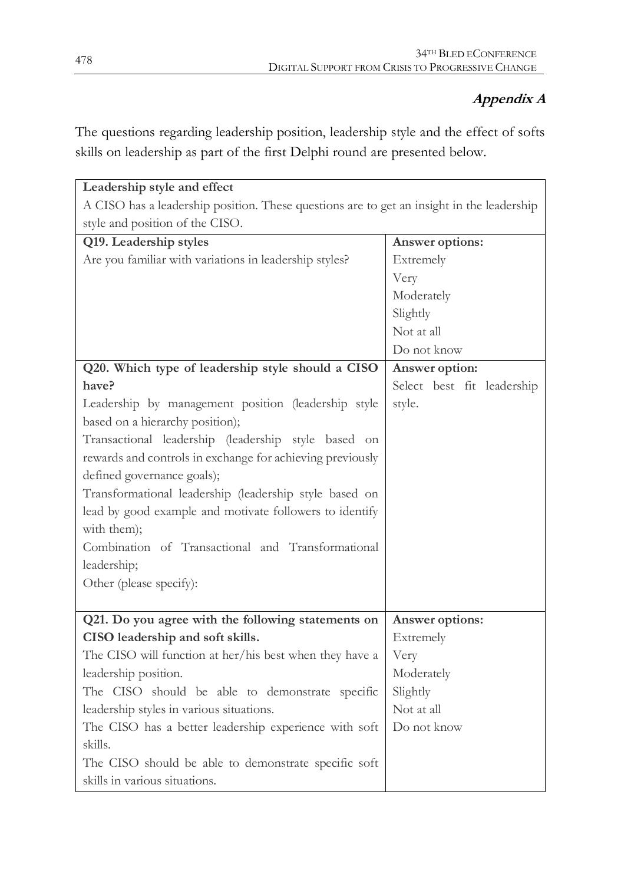## **Appendix A**

The questions regarding leadership position, leadership style and the effect of softs skills on leadership as part of the first Delphi round are presented below.

| Leadership style and effect                                                               |                            |  |  |  |  |  |
|-------------------------------------------------------------------------------------------|----------------------------|--|--|--|--|--|
| A CISO has a leadership position. These questions are to get an insight in the leadership |                            |  |  |  |  |  |
| style and position of the CISO.                                                           |                            |  |  |  |  |  |
| Q19. Leadership styles                                                                    | Answer options:            |  |  |  |  |  |
| Are you familiar with variations in leadership styles?                                    | Extremely                  |  |  |  |  |  |
|                                                                                           | Very                       |  |  |  |  |  |
|                                                                                           | Moderately                 |  |  |  |  |  |
|                                                                                           | Slightly                   |  |  |  |  |  |
|                                                                                           | Not at all                 |  |  |  |  |  |
|                                                                                           | Do not know                |  |  |  |  |  |
| Q20. Which type of leadership style should a CISO                                         | Answer option:             |  |  |  |  |  |
| have?                                                                                     | Select best fit leadership |  |  |  |  |  |
| Leadership by management position (leadership style                                       | style.                     |  |  |  |  |  |
| based on a hierarchy position);                                                           |                            |  |  |  |  |  |
| Transactional leadership (leadership style based on                                       |                            |  |  |  |  |  |
| rewards and controls in exchange for achieving previously                                 |                            |  |  |  |  |  |
| defined governance goals);                                                                |                            |  |  |  |  |  |
| Transformational leadership (leadership style based on                                    |                            |  |  |  |  |  |
| lead by good example and motivate followers to identify                                   |                            |  |  |  |  |  |
| with them);                                                                               |                            |  |  |  |  |  |
| Combination of Transactional and Transformational                                         |                            |  |  |  |  |  |
| leadership;                                                                               |                            |  |  |  |  |  |
| Other (please specify):                                                                   |                            |  |  |  |  |  |
|                                                                                           |                            |  |  |  |  |  |
| Q21. Do you agree with the following statements on                                        | Answer options:            |  |  |  |  |  |
| CISO leadership and soft skills.                                                          | Extremely                  |  |  |  |  |  |
| The CISO will function at her/his best when they have a                                   | Very                       |  |  |  |  |  |
| leadership position.                                                                      | Moderately                 |  |  |  |  |  |
| The CISO should be able to demonstrate specific                                           | Slightly                   |  |  |  |  |  |
| leadership styles in various situations.                                                  | Not at all                 |  |  |  |  |  |
| The CISO has a better leadership experience with soft                                     | Do not know                |  |  |  |  |  |
| skills.                                                                                   |                            |  |  |  |  |  |
| The CISO should be able to demonstrate specific soft                                      |                            |  |  |  |  |  |
| skills in various situations.                                                             |                            |  |  |  |  |  |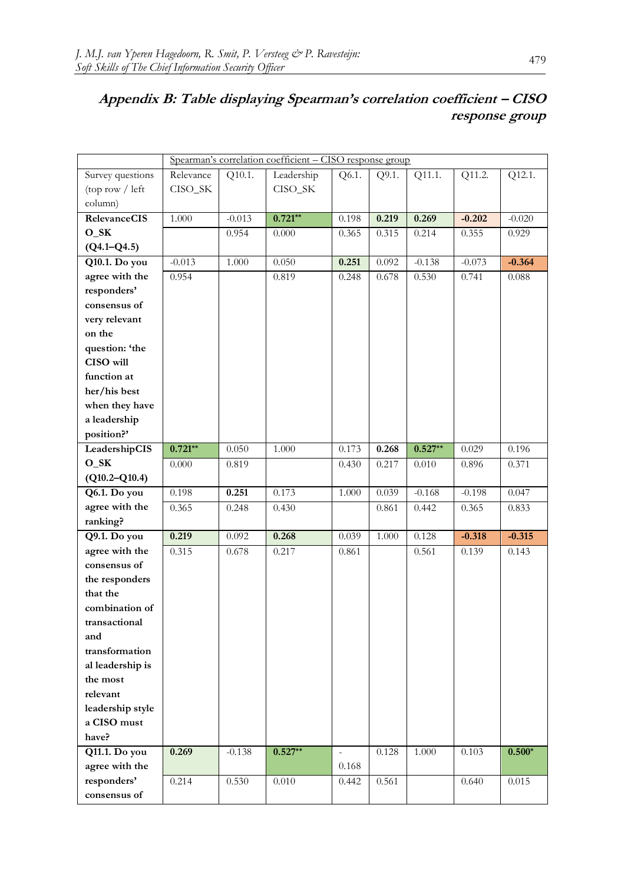# **Appendix B: Table displaying Spearman's correlation coefficient – CISO response group**

|                     | Spearman's correlation coefficient - CISO response group |          |            |       |       |           |          |          |  |
|---------------------|----------------------------------------------------------|----------|------------|-------|-------|-----------|----------|----------|--|
| Survey questions    | Relevance                                                | Q10.1.   | Leadership | Q6.1. | Q9.1. | Q11.1.    | Q11.2.   | Q12.1.   |  |
| (top row / left)    | CISO_SK                                                  |          | CISO_SK    |       |       |           |          |          |  |
| column)             |                                                          |          |            |       |       |           |          |          |  |
| <b>RelevanceCIS</b> | 1.000                                                    | $-0.013$ | $0.721**$  | 0.198 | 0.219 | 0.269     | $-0.202$ | $-0.020$ |  |
| $O_SK$              |                                                          | 0.954    | 0.000      | 0.365 | 0.315 | 0.214     | 0.355    | 0.929    |  |
| $(Q4.1 - Q4.5)$     |                                                          |          |            |       |       |           |          |          |  |
| Q10.1. Do you       | $-0.013$                                                 | 1.000    | 0.050      | 0.251 | 0.092 | $-0.138$  | $-0.073$ | $-0.364$ |  |
| agree with the      | 0.954                                                    |          | 0.819      | 0.248 | 0.678 | 0.530     | 0.741    | 0.088    |  |
| responders'         |                                                          |          |            |       |       |           |          |          |  |
| consensus of        |                                                          |          |            |       |       |           |          |          |  |
| very relevant       |                                                          |          |            |       |       |           |          |          |  |
| on the              |                                                          |          |            |       |       |           |          |          |  |
| question: 'the      |                                                          |          |            |       |       |           |          |          |  |
| CISO will           |                                                          |          |            |       |       |           |          |          |  |
| function at         |                                                          |          |            |       |       |           |          |          |  |
| her/his best        |                                                          |          |            |       |       |           |          |          |  |
| when they have      |                                                          |          |            |       |       |           |          |          |  |
| a leadership        |                                                          |          |            |       |       |           |          |          |  |
| position?'          |                                                          |          |            |       |       |           |          |          |  |
| LeadershipCIS       | $0.721***$                                               | 0.050    | 1.000      | 0.173 | 0.268 | $0.527**$ | 0.029    | 0.196    |  |
| $O_SK$              | 0.000                                                    | 0.819    |            | 0.430 | 0.217 | 0.010     | 0.896    | 0.371    |  |
| $(Q10.2-Q10.4)$     |                                                          |          |            |       |       |           |          |          |  |
| Q6.1. Do you        | 0.198                                                    | 0.251    | 0.173      | 1.000 | 0.039 | $-0.168$  | $-0.198$ | 0.047    |  |
| agree with the      | 0.365                                                    | 0.248    | 0.430      |       | 0.861 | 0.442     | 0.365    | 0.833    |  |
| ranking?            |                                                          |          |            |       |       |           |          |          |  |
| Q9.1. Do you        | 0.219                                                    | 0.092    | 0.268      | 0.039 | 1.000 | 0.128     | $-0.318$ | $-0.315$ |  |
| agree with the      | 0.315                                                    | 0.678    | 0.217      | 0.861 |       | 0.561     | 0.139    | 0.143    |  |
| consensus of        |                                                          |          |            |       |       |           |          |          |  |
| the responders      |                                                          |          |            |       |       |           |          |          |  |
| that the            |                                                          |          |            |       |       |           |          |          |  |
| combination of      |                                                          |          |            |       |       |           |          |          |  |
| transactional       |                                                          |          |            |       |       |           |          |          |  |
| and                 |                                                          |          |            |       |       |           |          |          |  |
| transformation      |                                                          |          |            |       |       |           |          |          |  |
| al leadership is    |                                                          |          |            |       |       |           |          |          |  |
| the most            |                                                          |          |            |       |       |           |          |          |  |
| relevant            |                                                          |          |            |       |       |           |          |          |  |
| leadership style    |                                                          |          |            |       |       |           |          |          |  |
| a CISO must         |                                                          |          |            |       |       |           |          |          |  |
| have?               |                                                          |          |            |       |       |           |          |          |  |
| Q11.1. Do you       | 0.269                                                    | $-0.138$ | $0.527**$  |       | 0.128 | 1.000     | 0.103    | $0.500*$ |  |
| agree with the      |                                                          |          |            | 0.168 |       |           |          |          |  |
| responders'         | 0.214                                                    | 0.530    | 0.010      | 0.442 | 0.561 |           | 0.640    | 0.015    |  |
| consensus of        |                                                          |          |            |       |       |           |          |          |  |